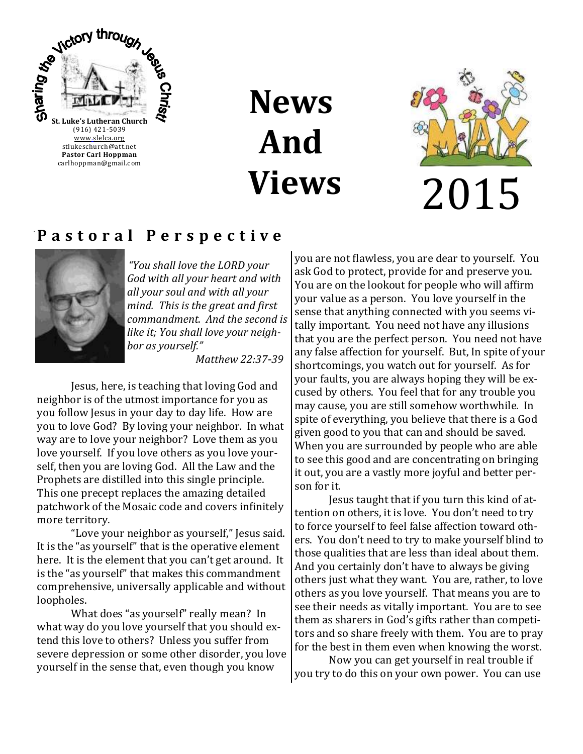

# **News And Views**



#### **P a s t o r a l P e r s p e c t i v e**



*"You shall love the LORD your God with all your heart and with all your soul and with all your mind. This is the great and first commandment. And the second is like it; You shall love your neighbor as yourself."*

*Matthew 22:37-39*

Jesus, here, is teaching that loving God and neighbor is of the utmost importance for you as you follow Jesus in your day to day life. How are you to love God? By loving your neighbor. In what way are to love your neighbor? Love them as you love yourself. If you love others as you love yourself, then you are loving God. All the Law and the Prophets are distilled into this single principle. This one precept replaces the amazing detailed patchwork of the Mosaic code and covers infinitely more territory.

"Love your neighbor as yourself," Jesus said. It is the "as yourself" that is the operative element here. It is the element that you can't get around. It is the "as yourself" that makes this commandment comprehensive, universally applicable and without loopholes.

What does "as yourself" really mean? In what way do you love yourself that you should extend this love to others? Unless you suffer from severe depression or some other disorder, you love yourself in the sense that, even though you know

you are not flawless, you are dear to yourself. You ask God to protect, provide for and preserve you. You are on the lookout for people who will affirm your value as a person. You love yourself in the sense that anything connected with you seems vitally important. You need not have any illusions that you are the perfect person. You need not have any false affection for yourself. But, In spite of your shortcomings, you watch out for yourself. As for your faults, you are always hoping they will be excused by others. You feel that for any trouble you may cause, you are still somehow worthwhile. In spite of everything, you believe that there is a God given good to you that can and should be saved. When you are surrounded by people who are able to see this good and are concentrating on bringing it out, you are a vastly more joyful and better person for it.

Jesus taught that if you turn this kind of attention on others, it is love. You don't need to try to force yourself to feel false affection toward others. You don't need to try to make yourself blind to those qualities that are less than ideal about them. And you certainly don't have to always be giving others just what they want. You are, rather, to love others as you love yourself. That means you are to see their needs as vitally important. You are to see them as sharers in God's gifts rather than competitors and so share freely with them. You are to pray for the best in them even when knowing the worst.

Now you can get yourself in real trouble if you try to do this on your own power. You can use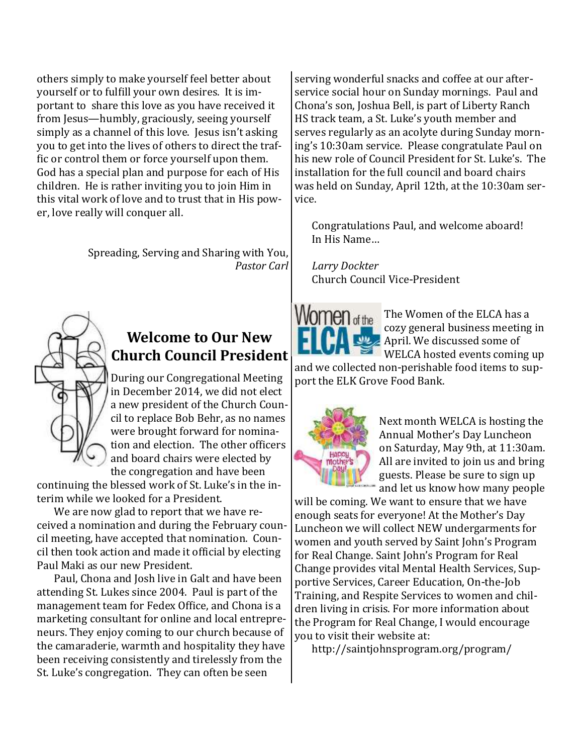others simply to make yourself feel better about yourself or to fulfill your own desires. It is important to share this love as you have received it from Jesus—humbly, graciously, seeing yourself simply as a channel of this love. Jesus isn't asking you to get into the lives of others to direct the traffic or control them or force yourself upon them. God has a special plan and purpose for each of His children. He is rather inviting you to join Him in this vital work of love and to trust that in His power, love really will conquer all.

> Spreading, Serving and Sharing with You, *Pastor Carl*



#### **Welcome to Our New Church Council President**

During our Congregational Meeting in December 2014, we did not elect a new president of the Church Council to replace Bob Behr, as no names were brought forward for nomination and election. The other officers and board chairs were elected by the congregation and have been

continuing the blessed work of St. Luke's in the interim while we looked for a President.

We are now glad to report that we have received a nomination and during the February council meeting, have accepted that nomination. Council then took action and made it official by electing Paul Maki as our new President.

Paul, Chona and Josh live in Galt and have been attending St. Lukes since 2004. Paul is part of the management team for Fedex Office, and Chona is a marketing consultant for online and local entrepreneurs. They enjoy coming to our church because of the camaraderie, warmth and hospitality they have been receiving consistently and tirelessly from the St. Luke's congregation. They can often be seen

serving wonderful snacks and coffee at our afterservice social hour on Sunday mornings. Paul and Chona's son, Joshua Bell, is part of Liberty Ranch HS track team, a St. Luke's youth member and serves regularly as an acolyte during Sunday morning's 10:30am service. Please congratulate Paul on his new role of Council President for St. Luke's. The installation for the full council and board chairs was held on Sunday, April 12th, at the 10:30am service.

Congratulations Paul, and welcome aboard! In His Name…

*Larry Dockter* Church Council Vice-President



The Women of the ELCA has a cozy general business meeting in April. We discussed some of WELCA hosted events coming up

and we collected non-perishable food items to support the ELK Grove Food Bank.



Next month WELCA is hosting the Annual Mother's Day Luncheon on Saturday, May 9th, at 11:30am. All are invited to join us and bring guests. Please be sure to sign up and let us know how many people

will be coming. We want to ensure that we have enough seats for everyone! At the Mother's Day Luncheon we will collect NEW undergarments for women and youth served by Saint John's Program for Real Change. Saint John's Program for Real Change provides vital Mental Health Services, Supportive Services, Career Education, On-the-Job Training, and Respite Services to women and children living in crisis. For more information about the Program for Real Change, I would encourage you to visit their website at:

http://saintjohnsprogram.org/program/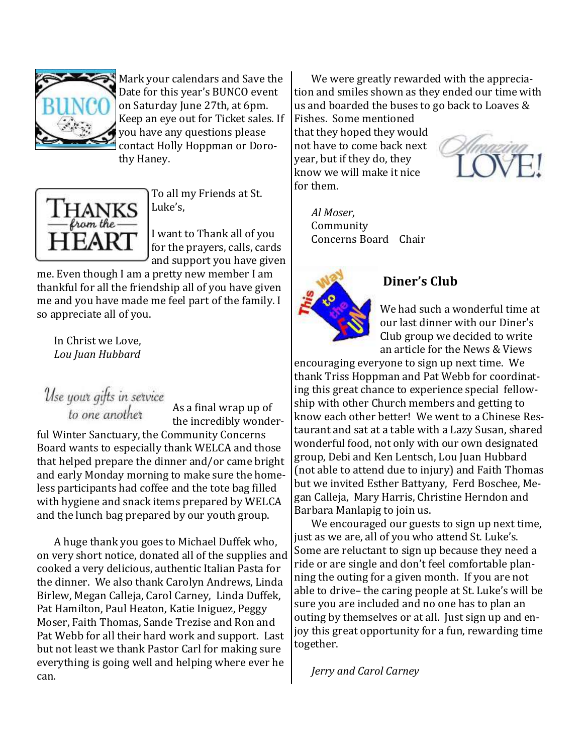

Mark your calendars and Save the Date for this year's BUNCO event on Saturday June 27th, at 6pm. Keep an eye out for Ticket sales. If you have any questions please contact Holly Hoppman or Dorothy Haney.



To all my Friends at St. Luke's,

I want to Thank all of you for the prayers, calls, cards and support you have given

me. Even though I am a pretty new member I am thankful for all the friendship all of you have given me and you have made me feel part of the family. I so appreciate all of you.

In Christ we Love, *Lou Juan Hubbard*

Use your gifts in service<br>to one another

As a final wrap up of the incredibly wonder-

ful Winter Sanctuary, the Community Concerns Board wants to especially thank WELCA and those that helped prepare the dinner and/or came bright and early Monday morning to make sure the homeless participants had coffee and the tote bag filled with hygiene and snack items prepared by WELCA and the lunch bag prepared by our youth group.

A huge thank you goes to Michael Duffek who, on very short notice, donated all of the supplies and cooked a very delicious, authentic Italian Pasta for the dinner. We also thank Carolyn Andrews, Linda Birlew, Megan Calleja, Carol Carney, Linda Duffek, Pat Hamilton, Paul Heaton, Katie Iniguez, Peggy Moser, Faith Thomas, Sande Trezise and Ron and Pat Webb for all their hard work and support. Last but not least we thank Pastor Carl for making sure everything is going well and helping where ever he can.

We were greatly rewarded with the appreciation and smiles shown as they ended our time with us and boarded the buses to go back to Loaves &

Fishes. Some mentioned that they hoped they would not have to come back next year, but if they do, they know we will make it nice for them.



*Al Moser*, Community Concerns Board Chair



#### **Diner's Club**

We had such a wonderful time at our last dinner with our Diner's Club group we decided to write an article for the News & Views

encouraging everyone to sign up next time. We thank Triss Hoppman and Pat Webb for coordinating this great chance to experience special fellowship with other Church members and getting to know each other better! We went to a Chinese Restaurant and sat at a table with a Lazy Susan, shared wonderful food, not only with our own designated group, Debi and Ken Lentsch, Lou Juan Hubbard (not able to attend due to injury) and Faith Thomas but we invited Esther Battyany, Ferd Boschee, Megan Calleja, Mary Harris, Christine Herndon and Barbara Manlapig to join us.

We encouraged our guests to sign up next time, just as we are, all of you who attend St. Luke's. Some are reluctant to sign up because they need a ride or are single and don't feel comfortable planning the outing for a given month. If you are not able to drive– the caring people at St. Luke's will be sure you are included and no one has to plan an outing by themselves or at all. Just sign up and enjoy this great opportunity for a fun, rewarding time together.

*Jerry and Carol Carney*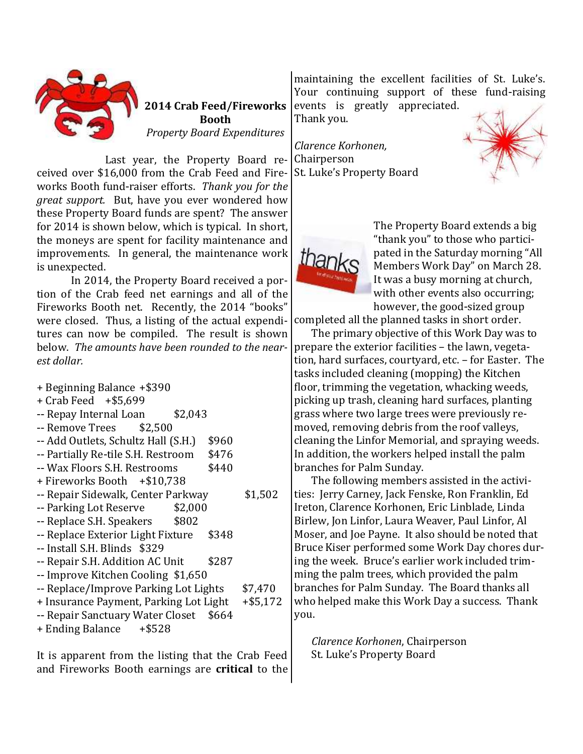

**2014 Crab Feed/Fireworks Booth** *Property Board Expenditures*

Last year, the Property Board received over \$16,000 from the Crab Feed and Fireworks Booth fund-raiser efforts. *Thank you for the great support.* But, have you ever wondered how these Property Board funds are spent? The answer for 2014 is shown below, which is typical. In short, the moneys are spent for facility maintenance and improvements. In general, the maintenance work is unexpected.

In 2014, the Property Board received a portion of the Crab feed net earnings and all of the Fireworks Booth net. Recently, the 2014 "books" were closed. Thus, a listing of the actual expenditures can now be compiled. The result is shown below. *The amounts have been rounded to the nearest dollar.*

- + Beginning Balance +\$390
- + Crab Feed +\$5,699
- -- Repay Internal Loan \$2,043
- $-$  Remove Trees  $$2.500$
- -- Add Outlets, Schultz Hall (S.H.) \$960
- -- Partially Re-tile S.H. Restroom \$476
- -- Wax Floors S.H. Restrooms \$440
- + Fireworks Booth +\$10,738
- -- Repair Sidewalk, Center Parkway \$1,502
- -- Parking Lot Reserve \$2,000
- -- Replace S.H. Speakers \$802
- -- Replace Exterior Light Fixture \$348
- -- Install S.H. Blinds \$329
- -- Repair S.H. Addition AC Unit \$287
- -- Improve Kitchen Cooling \$1,650
- -- Replace/Improve Parking Lot Lights \$7,470
- + Insurance Payment, Parking Lot Light +\$5,172
- -- Repair Sanctuary Water Closet \$664
- + Ending Balance +\$528

It is apparent from the listing that the Crab Feed and Fireworks Booth earnings are **critical** to the

maintaining the excellent facilities of St. Luke's. Your continuing support of these fund-raising events is greatly appreciated.

Thank you.

*Clarence Korhonen,*  Chairperson St. Luke's Property Board





The Property Board extends a big "thank you" to those who participated in the Saturday morning "All Members Work Day" on March 28. It was a busy morning at church, with other events also occurring; however, the good-sized group

completed all the planned tasks in short order.

The primary objective of this Work Day was to prepare the exterior facilities – the lawn, vegetation, hard surfaces, courtyard, etc. – for Easter. The tasks included cleaning (mopping) the Kitchen floor, trimming the vegetation, whacking weeds, picking up trash, cleaning hard surfaces, planting grass where two large trees were previously removed, removing debris from the roof valleys, cleaning the Linfor Memorial, and spraying weeds. In addition, the workers helped install the palm branches for Palm Sunday.

The following members assisted in the activities: Jerry Carney, Jack Fenske, Ron Franklin, Ed Ireton, Clarence Korhonen, Eric Linblade, Linda Birlew, Jon Linfor, Laura Weaver, Paul Linfor, Al Moser, and Joe Payne. It also should be noted that Bruce Kiser performed some Work Day chores during the week. Bruce's earlier work included trimming the palm trees, which provided the palm branches for Palm Sunday. The Board thanks all who helped make this Work Day a success. Thank you.

*Clarence Korhonen*, Chairperson St. Luke's Property Board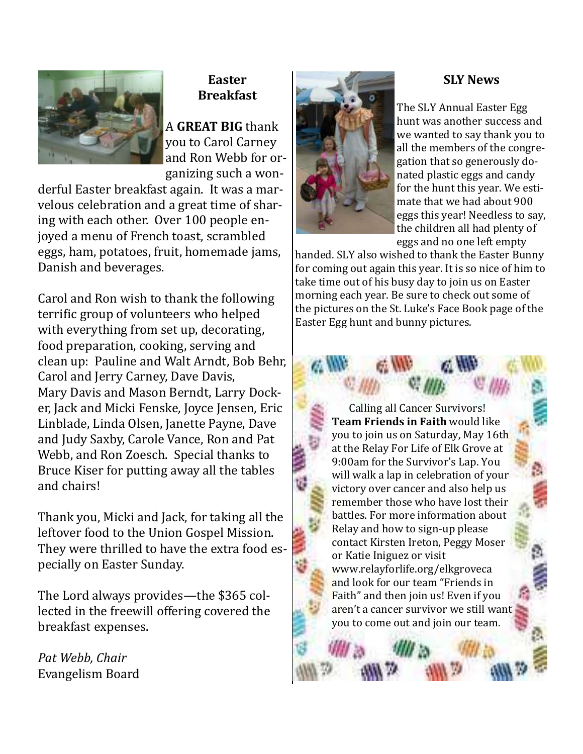

#### **Easter Breakfast**

A **GREAT BIG** thank you to Carol Carney and Ron Webb for organizing such a won-

derful Easter breakfast again. It was a marvelous celebration and a great time of sharing with each other. Over 100 people enjoyed a menu of French toast, scrambled eggs, ham, potatoes, fruit, homemade jams, Danish and beverages.

Carol and Ron wish to thank the following terrific group of volunteers who helped with everything from set up, decorating, food preparation, cooking, serving and clean up: Pauline and Walt Arndt, Bob Behr, Carol and Jerry Carney, Dave Davis, Mary Davis and Mason Berndt, Larry Docker, Jack and Micki Fenske, Joyce Jensen, Eric Linblade, Linda Olsen, Janette Payne, Dave and Judy Saxby, Carole Vance, Ron and Pat Webb, and Ron Zoesch. Special thanks to Bruce Kiser for putting away all the tables and chairs!

Thank you, Micki and Jack, for taking all the leftover food to the Union Gospel Mission. They were thrilled to have the extra food especially on Easter Sunday.

The Lord always provides—the \$365 collected in the freewill offering covered the breakfast expenses.

*Pat Webb, Chair* Evangelism Board



#### **SLY News**

The SLY Annual Easter Egg hunt was another success and we wanted to say thank you to all the members of the congregation that so generously donated plastic eggs and candy for the hunt this year. We estimate that we had about 900 eggs this year! Needless to say, the children all had plenty of eggs and no one left empty

handed. SLY also wished to thank the Easter Bunny for coming out again this year. It is so nice of him to take time out of his busy day to join us on Easter morning each year. Be sure to check out some of the pictures on the St. Luke's Face Book page of the Easter Egg hunt and bunny pictures.

> Calling all Cancer Survivors! **Team Friends in Faith** would like you to join us on Saturday, May 16th at the Relay For Life of Elk Grove at 9:00am for the Survivor's Lap. You will walk a lap in celebration of your victory over cancer and also help us remember those who have lost their battles. For more information about Relay and how to sign-up please contact Kirsten Ireton, Peggy Moser or Katie Iniguez or visit www.relayforlife.org/elkgroveca and look for our team "Friends in Faith" and then join us! Even if you aren't a cancer survivor we still want you to come out and join our team.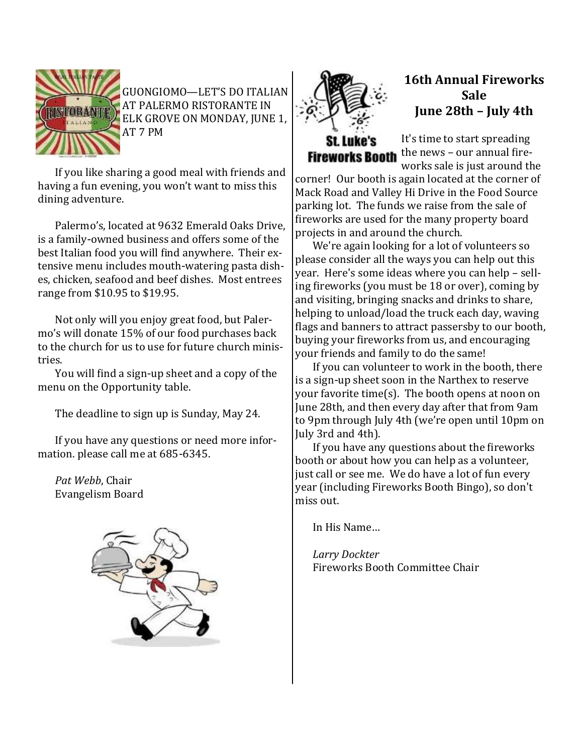

GUONGIOMO—LET'S DO ITALIAN AT PALERMO RISTORANTE IN ELK GROVE ON MONDAY, JUNE 1, AT 7 PM

If you like sharing a good meal with friends and having a fun evening, you won't want to miss this dining adventure.

Palermo's, located at 9632 Emerald Oaks Drive, is a family-owned business and offers some of the best Italian food you will find anywhere. Their extensive menu includes mouth-watering pasta dishes, chicken, seafood and beef dishes. Most entrees range from \$10.95 to \$19.95.

Not only will you enjoy great food, but Palermo's will donate 15% of our food purchases back to the church for us to use for future church ministries.

You will find a sign-up sheet and a copy of the menu on the Opportunity table.

The deadline to sign up is Sunday, May 24.

If you have any questions or need more information. please call me at 685-6345.

*Pat Webb*, Chair Evangelism Board





#### **16th Annual Fireworks Sale June 28th – July 4th**

## **Fireworks Booth**

It's time to start spreading the news – our annual fireworks sale is just around the

corner! Our booth is again located at the corner of Mack Road and Valley Hi Drive in the Food Source parking lot. The funds we raise from the sale of fireworks are used for the many property board projects in and around the church.

We're again looking for a lot of volunteers so please consider all the ways you can help out this year. Here's some ideas where you can help – selling fireworks (you must be 18 or over), coming by and visiting, bringing snacks and drinks to share, helping to unload/load the truck each day, waving flags and banners to attract passersby to our booth, buying your fireworks from us, and encouraging your friends and family to do the same!

If you can volunteer to work in the booth, there is a sign-up sheet soon in the Narthex to reserve your favorite time(s). The booth opens at noon on June 28th, and then every day after that from 9am to 9pm through July 4th (we're open until 10pm on July 3rd and 4th).

If you have any questions about the fireworks booth or about how you can help as a volunteer, just call or see me. We do have a lot of fun every year (including Fireworks Booth Bingo), so don't miss out.

In His Name…

*Larry Dockter* Fireworks Booth Committee Chair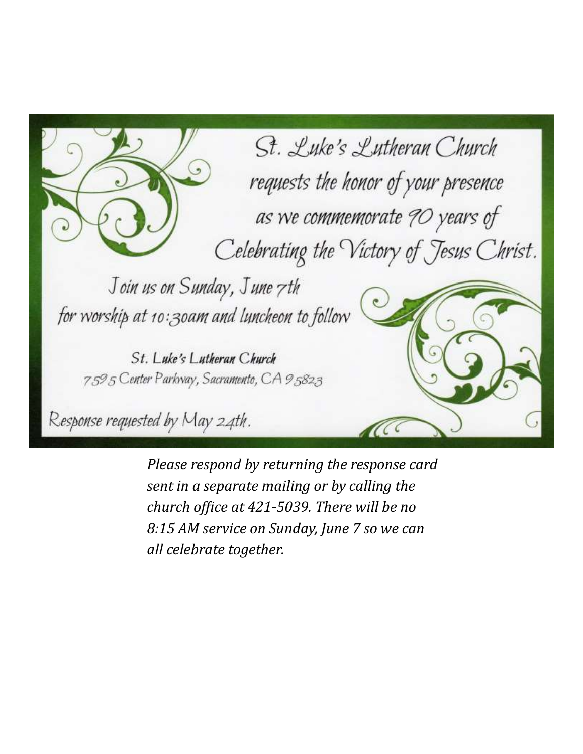St. Luke's Lutheran Church requests the honor of your presence as we commemorate 90 years of Celebrating the Victory of Jesus Christ. Join us on Sunday, June 7th for worship at 10:30am and luncheon to follow St. Luke's Lutheran Church 7595 Center Parkway, Sacramento, CA 95823 Response requested by May 24th.

> *Please respond by returning the response card sent in a separate mailing or by calling the church office at 421-5039. There will be no 8:15 AM service on Sunday, June 7 so we can all celebrate together.*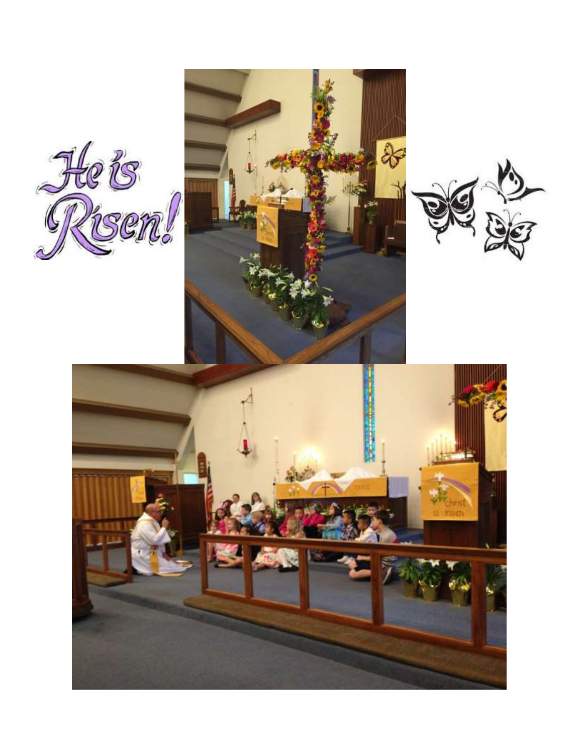





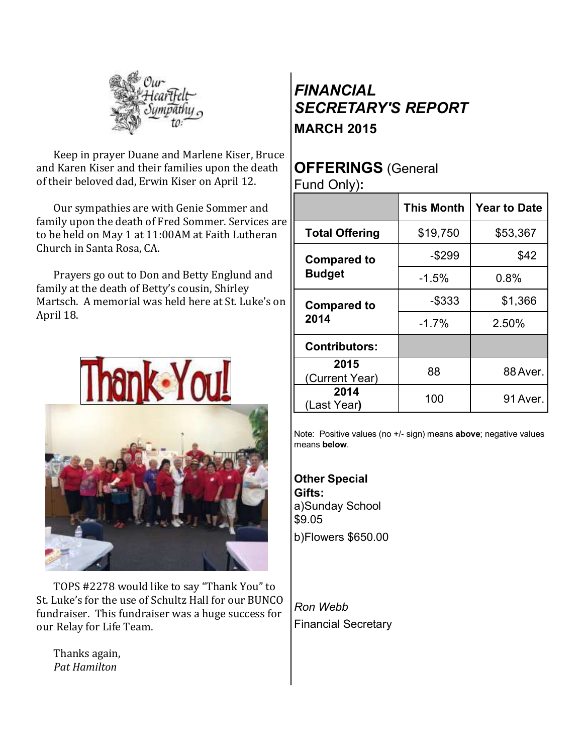

Keep in prayer Duane and Marlene Kiser, Bruce and Karen Kiser and their families upon the death of their beloved dad, Erwin Kiser on April 12.

Our sympathies are with Genie Sommer and family upon the death of Fred Sommer. Services are to be held on May 1 at 11:00AM at Faith Lutheran Church in Santa Rosa, CA.

Prayers go out to Don and Betty Englund and family at the death of Betty's cousin, Shirley Martsch. A memorial was held here at St. Luke's on April 18.



TOPS #2278 would like to say "Thank You" to St. Luke's for the use of Schultz Hall for our BUNCO fundraiser. This fundraiser was a huge success for our Relay for Life Team.

Thanks again, *Pat Hamilton*

### *FINANCIAL SECRETARY'S REPORT* **MARCH 2015**

### **OFFERINGS** (General

Fund Only)**:**

|                                     | <b>This Month</b> | <b>Year to Date</b> |
|-------------------------------------|-------------------|---------------------|
| <b>Total Offering</b>               | \$19,750          | \$53,367            |
| <b>Compared to</b><br><b>Budget</b> | $-$299$           | \$42                |
|                                     | $-1.5%$           | 0.8%                |
| <b>Compared to</b><br>2014          | $-$ \$333         | \$1,366             |
|                                     | $-1.7%$           | 2.50%               |
| <b>Contributors:</b>                |                   |                     |
| 2015<br>(Current Year)              | 88                | 88 Aver.            |
| 2014<br>(Last Year)                 | 100               | 91 Aver.            |

Note: Positive values (no +/- sign) means **above**; negative values means **below**.

**Other Special Gifts:** a)Sunday School \$9.05 b)Flowers \$650.00

*Ron Webb* Financial Secretary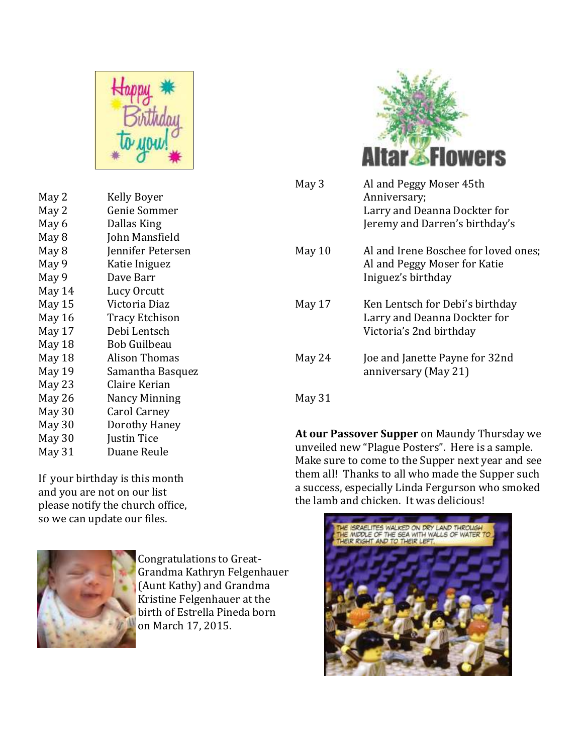

| May 2  | Kelly Boyer           |
|--------|-----------------------|
| May 2  | Genie Sommer          |
| May 6  | Dallas King           |
| May 8  | John Mansfield        |
| May 8  | Jennifer Petersen     |
| May 9  | Katie Iniguez         |
| May 9  | Dave Barr             |
| May 14 | Lucy Orcutt           |
| May 15 | Victoria Diaz         |
| May 16 | <b>Tracy Etchison</b> |
| May 17 | Debi Lentsch          |
| May 18 | <b>Bob Guilbeau</b>   |
| May 18 | Alison Thomas         |
| May 19 | Samantha Basquez      |
| May 23 | Claire Kerian         |
| May 26 | Nancy Minning         |
| May 30 | Carol Carney          |
| May 30 | Dorothy Haney         |
| May 30 | Justin Tice           |
| May 31 | Duane Reule           |
|        |                       |

If your birthday is this month and you are not on our list please notify the church office, so we can update our files.



Congratulations to Great-Grandma Kathryn Felgenhauer (Aunt Kathy) and Grandma Kristine Felgenhauer at the birth of Estrella Pineda born on March 17, 2015.



| May 3  | Al and Peggy Moser 45th<br>Anniversary;<br>Larry and Deanna Dockter for<br>Jeremy and Darren's birthday's |
|--------|-----------------------------------------------------------------------------------------------------------|
| May 10 | Al and Irene Boschee for loved ones;<br>Al and Peggy Moser for Katie<br>Iniguez's birthday                |
| May 17 | Ken Lentsch for Debi's birthday<br>Larry and Deanna Dockter for<br>Victoria's 2nd birthday                |
| May 24 | Joe and Janette Payne for 32nd<br>anniversary (May 21)                                                    |

May 31

**At our Passover Supper** on Maundy Thursday we unveiled new "Plague Posters". Here is a sample. Make sure to come to the Supper next year and see them all! Thanks to all who made the Supper such a success, especially Linda Fergurson who smoked the lamb and chicken. It was delicious!

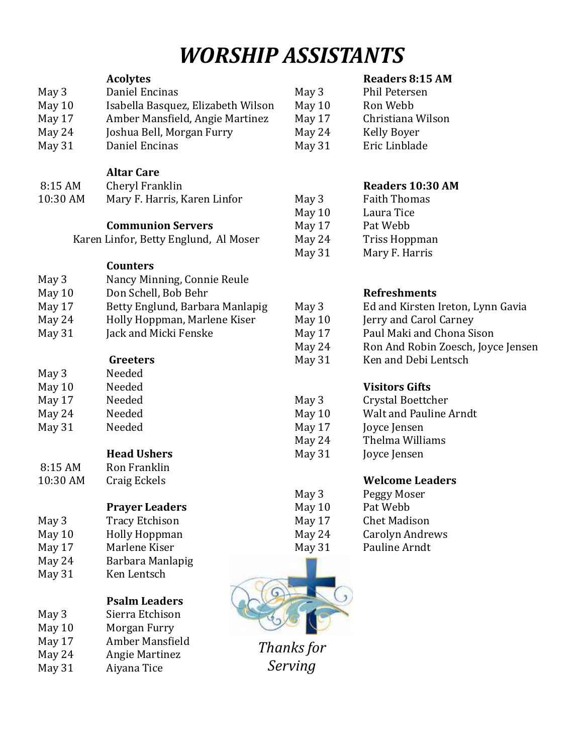## *WORSHIP ASSISTANTS*

|          | <b>Acolytes</b>                       |            | <b>Readers 8:15 AM</b>             |
|----------|---------------------------------------|------------|------------------------------------|
| May 3    | Daniel Encinas                        | May 3      | Phil Petersen                      |
| May 10   | Isabella Basquez, Elizabeth Wilson    | May 10     | Ron Webb                           |
| May 17   | Amber Mansfield, Angie Martinez       | May 17     | Christiana Wilson                  |
| May 24   | Joshua Bell, Morgan Furry             | May 24     | <b>Kelly Boyer</b>                 |
| May 31   | Daniel Encinas                        | May 31     | Eric Linblade                      |
|          |                                       |            |                                    |
|          | <b>Altar Care</b>                     |            |                                    |
| 8:15 AM  | Cheryl Franklin                       |            | Readers 10:30 AM                   |
| 10:30 AM | Mary F. Harris, Karen Linfor          | May 3      | <b>Faith Thomas</b>                |
|          |                                       | May 10     | Laura Tice                         |
|          | <b>Communion Servers</b>              | May 17     | Pat Webb                           |
|          | Karen Linfor, Betty Englund, Al Moser | May 24     | Triss Hoppman                      |
|          |                                       | May 31     | Mary F. Harris                     |
|          | <b>Counters</b>                       |            |                                    |
| May 3    | Nancy Minning, Connie Reule           |            |                                    |
| May 10   | Don Schell, Bob Behr                  |            | <b>Refreshments</b>                |
| May 17   | Betty Englund, Barbara Manlapig       | May 3      | Ed and Kirsten Ireton, Lynn Gavia  |
| May 24   | Holly Hoppman, Marlene Kiser          | May 10     | Jerry and Carol Carney             |
| May 31   | Jack and Micki Fenske                 | May 17     | Paul Maki and Chona Sison          |
|          |                                       | May 24     | Ron And Robin Zoesch, Joyce Jensen |
|          | <b>Greeters</b>                       | May 31     | Ken and Debi Lentsch               |
| May 3    | Needed                                |            |                                    |
| May 10   | Needed                                |            | <b>Visitors Gifts</b>              |
| May 17   | Needed                                | May 3      | Crystal Boettcher                  |
| May 24   | Needed                                | May 10     | Walt and Pauline Arndt             |
| May 31   | Needed                                | May 17     | Joyce Jensen                       |
|          |                                       | May 24     | Thelma Williams                    |
|          | <b>Head Ushers</b>                    | May 31     | Joyce Jensen                       |
| 8:15 AM  | Ron Franklin                          |            |                                    |
| 10:30 AM | Craig Eckels                          |            | <b>Welcome Leaders</b>             |
|          |                                       | May 3      | Peggy Moser                        |
|          | <b>Prayer Leaders</b>                 | May 10     | Pat Webb                           |
| May 3    | <b>Tracy Etchison</b>                 | May 17     | <b>Chet Madison</b>                |
| May 10   | <b>Holly Hoppman</b>                  | May 24     | <b>Carolyn Andrews</b>             |
| May 17   | Marlene Kiser                         | May 31     | Pauline Arndt                      |
| May 24   | Barbara Manlapig                      |            |                                    |
| May 31   | Ken Lentsch                           |            |                                    |
|          |                                       |            |                                    |
|          | <b>Psalm Leaders</b>                  |            |                                    |
| May 3    | Sierra Etchison                       |            |                                    |
| May 10   | Morgan Furry                          |            |                                    |
| May 17   | Amber Mansfield                       | Thanks for |                                    |
| May 24   | <b>Angie Martinez</b>                 |            |                                    |
| May 31   | Aiyana Tice                           | Serving    |                                    |